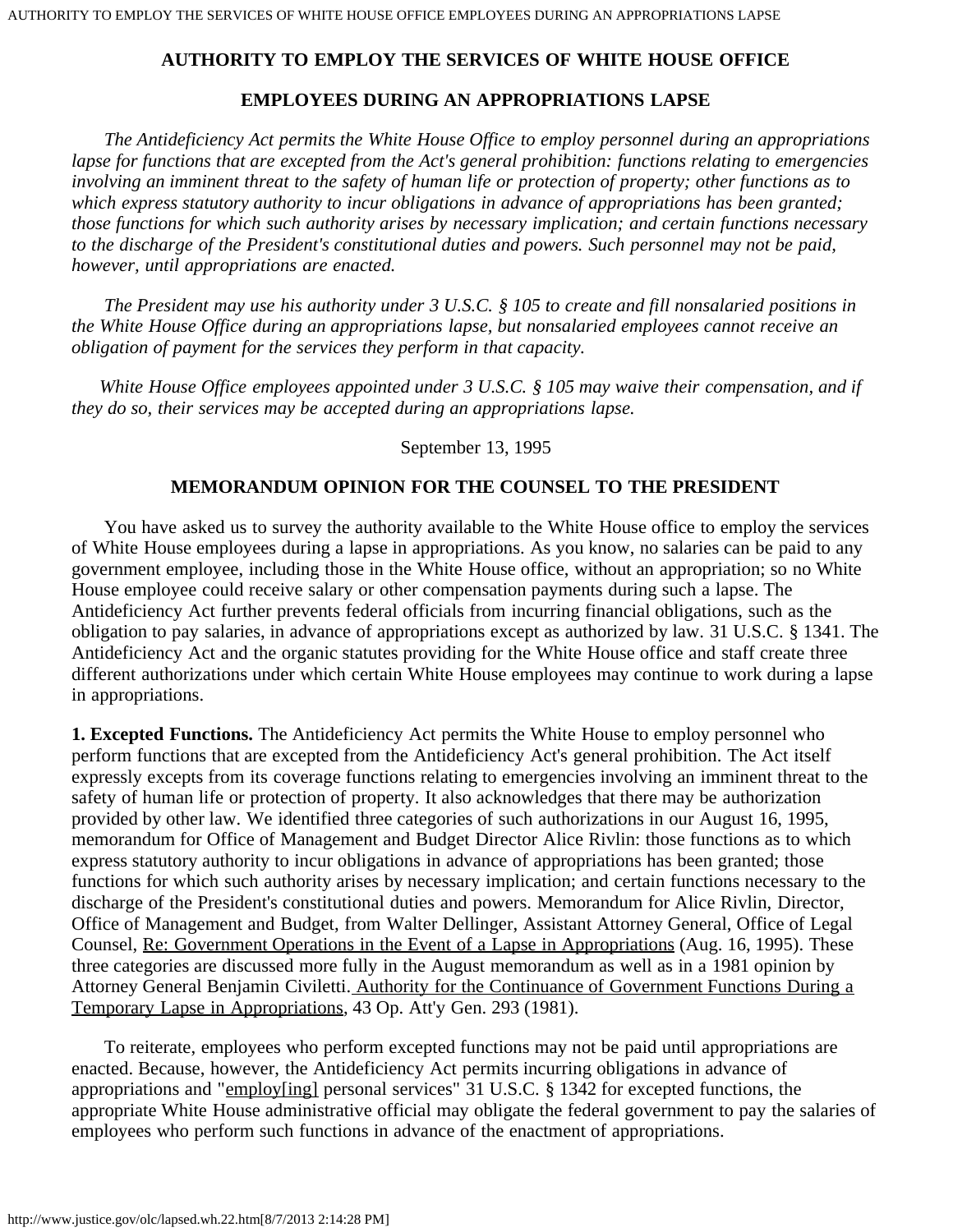# **AUTHORITY TO EMPLOY THE SERVICES OF WHITE HOUSE OFFICE**

# **EMPLOYEES DURING AN APPROPRIATIONS LAPSE**

 *The Antideficiency Act permits the White House Office to employ personnel during an appropriations lapse for functions that are excepted from the Act's general prohibition: functions relating to emergencies involving an imminent threat to the safety of human life or protection of property; other functions as to which express statutory authority to incur obligations in advance of appropriations has been granted; those functions for which such authority arises by necessary implication; and certain functions necessary to the discharge of the President's constitutional duties and powers. Such personnel may not be paid, however, until appropriations are enacted.*

 *The President may use his authority under 3 U.S.C. § 105 to create and fill nonsalaried positions in the White House Office during an appropriations lapse, but nonsalaried employees cannot receive an obligation of payment for the services they perform in that capacity.*

 *White House Office employees appointed under 3 U.S.C. § 105 may waive their compensation, and if they do so, their services may be accepted during an appropriations lapse.*

#### September 13, 1995

# **MEMORANDUM OPINION FOR THE COUNSEL TO THE PRESIDENT**

 You have asked us to survey the authority available to the White House office to employ the services of White House employees during a lapse in appropriations. As you know, no salaries can be paid to any government employee, including those in the White House office, without an appropriation; so no White House employee could receive salary or other compensation payments during such a lapse. The Antideficiency Act further prevents federal officials from incurring financial obligations, such as the obligation to pay salaries, in advance of appropriations except as authorized by law. 31 U.S.C. § 1341. The Antideficiency Act and the organic statutes providing for the White House office and staff create three different authorizations under which certain White House employees may continue to work during a lapse in appropriations.

**1. Excepted Functions.** The Antideficiency Act permits the White House to employ personnel who perform functions that are excepted from the Antideficiency Act's general prohibition. The Act itself expressly excepts from its coverage functions relating to emergencies involving an imminent threat to the safety of human life or protection of property. It also acknowledges that there may be authorization provided by other law. We identified three categories of such authorizations in our August 16, 1995, memorandum for Office of Management and Budget Director Alice Rivlin: those functions as to which express statutory authority to incur obligations in advance of appropriations has been granted; those functions for which such authority arises by necessary implication; and certain functions necessary to the discharge of the President's constitutional duties and powers. Memorandum for Alice Rivlin, Director, Office of Management and Budget, from Walter Dellinger, Assistant Attorney General, Office of Legal Counsel, Re: Government Operations in the Event of a Lapse in Appropriations (Aug. 16, 1995). These three categories are discussed more fully in the August memorandum as well as in a 1981 opinion by Attorney General Benjamin Civiletti. Authority for the Continuance of Government Functions During a Temporary Lapse in Appropriations, 43 Op. Att'y Gen. 293 (1981).

 To reiterate, employees who perform excepted functions may not be paid until appropriations are enacted. Because, however, the Antideficiency Act permits incurring obligations in advance of appropriations and "employ[ing] personal services" 31 U.S.C. § 1342 for excepted functions, the appropriate White House administrative official may obligate the federal government to pay the salaries of employees who perform such functions in advance of the enactment of appropriations.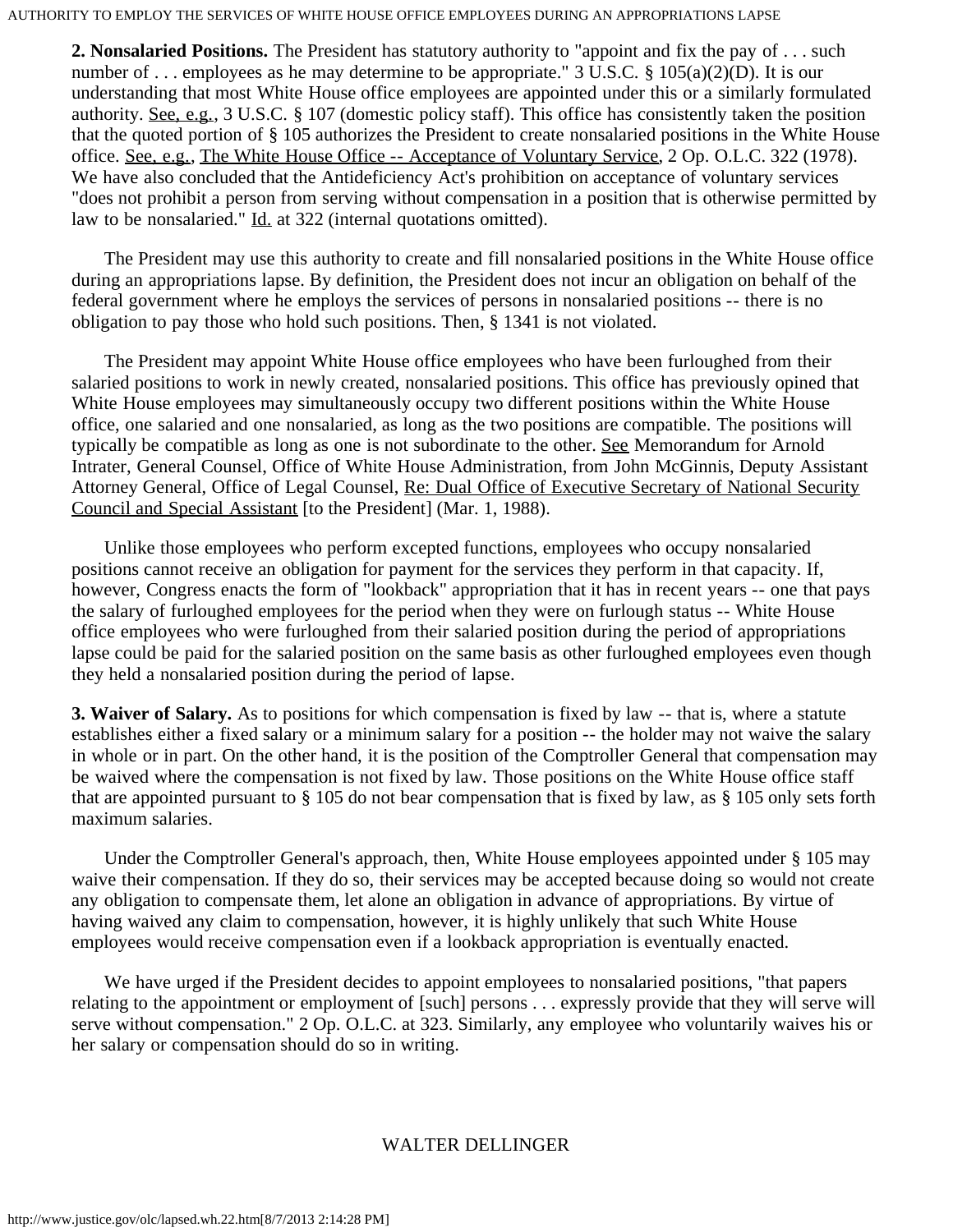#### AUTHORITY TO EMPLOY THE SERVICES OF WHITE HOUSE OFFICE EMPLOYEES DURING AN APPROPRIATIONS LAPSE

**2. Nonsalaried Positions.** The President has statutory authority to "appoint and fix the pay of . . . such number of ... employees as he may determine to be appropriate." 3 U.S.C. § 105(a)(2)(D). It is our understanding that most White House office employees are appointed under this or a similarly formulated authority. See, e.g., 3 U.S.C. § 107 (domestic policy staff). This office has consistently taken the position that the quoted portion of § 105 authorizes the President to create nonsalaried positions in the White House office. See, e.g., The White House Office -- Acceptance of Voluntary Service, 2 Op. O.L.C. 322 (1978). We have also concluded that the Antideficiency Act's prohibition on acceptance of voluntary services "does not prohibit a person from serving without compensation in a position that is otherwise permitted by law to be nonsalaried." Id. at 322 (internal quotations omitted).

 The President may use this authority to create and fill nonsalaried positions in the White House office during an appropriations lapse. By definition, the President does not incur an obligation on behalf of the federal government where he employs the services of persons in nonsalaried positions -- there is no obligation to pay those who hold such positions. Then, § 1341 is not violated.

 The President may appoint White House office employees who have been furloughed from their salaried positions to work in newly created, nonsalaried positions. This office has previously opined that White House employees may simultaneously occupy two different positions within the White House office, one salaried and one nonsalaried, as long as the two positions are compatible. The positions will typically be compatible as long as one is not subordinate to the other. See Memorandum for Arnold Intrater, General Counsel, Office of White House Administration, from John McGinnis, Deputy Assistant Attorney General, Office of Legal Counsel, Re: Dual Office of Executive Secretary of National Security Council and Special Assistant [to the President] (Mar. 1, 1988).

 Unlike those employees who perform excepted functions, employees who occupy nonsalaried positions cannot receive an obligation for payment for the services they perform in that capacity. If, however, Congress enacts the form of "lookback" appropriation that it has in recent years -- one that pays the salary of furloughed employees for the period when they were on furlough status -- White House office employees who were furloughed from their salaried position during the period of appropriations lapse could be paid for the salaried position on the same basis as other furloughed employees even though they held a nonsalaried position during the period of lapse.

**3. Waiver of Salary.** As to positions for which compensation is fixed by law -- that is, where a statute establishes either a fixed salary or a minimum salary for a position -- the holder may not waive the salary in whole or in part. On the other hand, it is the position of the Comptroller General that compensation may be waived where the compensation is not fixed by law. Those positions on the White House office staff that are appointed pursuant to § 105 do not bear compensation that is fixed by law, as § 105 only sets forth maximum salaries.

 Under the Comptroller General's approach, then, White House employees appointed under § 105 may waive their compensation. If they do so, their services may be accepted because doing so would not create any obligation to compensate them, let alone an obligation in advance of appropriations. By virtue of having waived any claim to compensation, however, it is highly unlikely that such White House employees would receive compensation even if a lookback appropriation is eventually enacted.

 We have urged if the President decides to appoint employees to nonsalaried positions, "that papers relating to the appointment or employment of [such] persons . . . expressly provide that they will serve will serve without compensation." 2 Op. O.L.C. at 323. Similarly, any employee who voluntarily waives his or her salary or compensation should do so in writing.

# WALTER DELLINGER